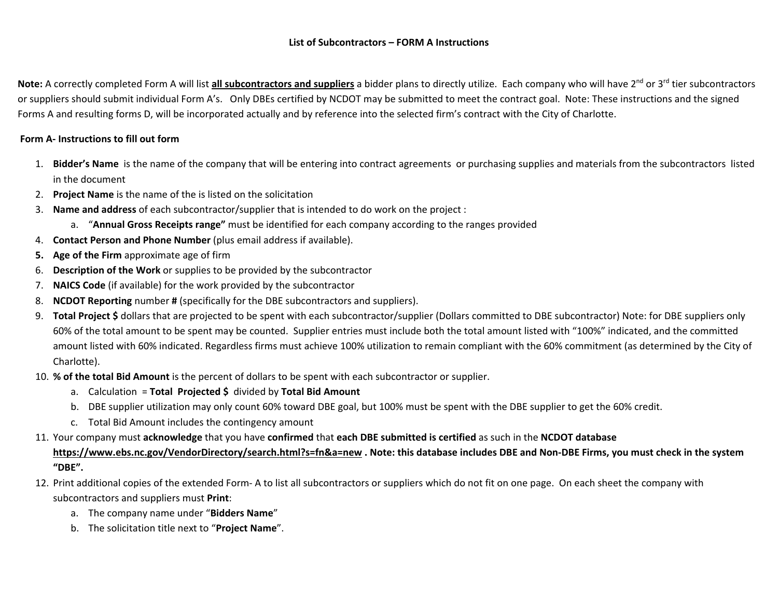#### **List of Subcontractors – FORM A Instructions**

Note: A correctly completed Form A will list all subcontractors and suppliers a bidder plans to directly utilize. Each company who will have 2<sup>nd</sup> or 3<sup>rd</sup> tier subcontractors or suppliers should submit individual Form A's. Only DBEs certified by NCDOT may be submitted to meet the contract goal. Note: These instructions and the signed Forms A and resulting forms D, will be incorporated actually and by reference into the selected firm's contract with the City of Charlotte.

## **Form A‐ Instructions to fill out form**

- 1. **Bidder's Name** is the name of the company that will be entering into contract agreements or purchasing supplies and materials from the subcontractors listed in the document
- 2. **Project Name** is the name of the is listed on the solicitation
- 3. **Name and address** of each subcontractor/supplier that is intended to do work on the project :
	- a. "**Annual Gross Receipts range"** must be identified for each company according to the ranges provided
- 4. **Contact Person and Phone Number** (plus email address if available).
- **5.Age of the Firm** approximate age of firm
- 6.**Description of the Work** or supplies to be provided by the subcontractor
- 7. **NAICS Code** (if available) for the work provided by the subcontractor
- 8.**NCDOT Reporting** number **#** (specifically for the DBE subcontractors and suppliers).
- 9. **Total Project \$** dollars that are projected to be spent with each subcontractor/supplier (Dollars committed to DBE subcontractor) Note: for DBE suppliers only 60% of the total amount to be spent may be counted. Supplier entries must include both the total amount listed with "100%" indicated, and the committed amount listed with 60% indicated. Regardless firms must achieve 100% utilization to remain compliant with the 60% commitment (as determined by the City of Charlotte).
- 10. **% of the total Bid Amount** is the percent of dollars to be spent with each subcontractor or supplier.
	- a. Calculation = **Total Projected \$** divided by **Total Bid Amount**
	- b. DBE supplier utilization may only count 60% toward DBE goal, but 100% must be spent with the DBE supplier to get the 60% credit.
	- c. Total Bid Amount includes the contingency amount
- 11. Your company must **acknowledge** that you have **confirmed** that **each DBE submitted is certified** as such in the **NCDOT database**

# **https://www.ebs.nc.gov/VendorDirectory/search.html?s=fn&a=new . Note: this database includes DBE and Non‐DBE Firms, you must check in the system "DBE".**

- 12. Print additional copies of the extended Form‐ A to list all subcontractors or suppliers which do not fit on one page. On each sheet the company with subcontractors and suppliers must **Print**:
	- a. The company name under "**Bidders Name**"
	- b. The solicitation title next to "**Project Name**".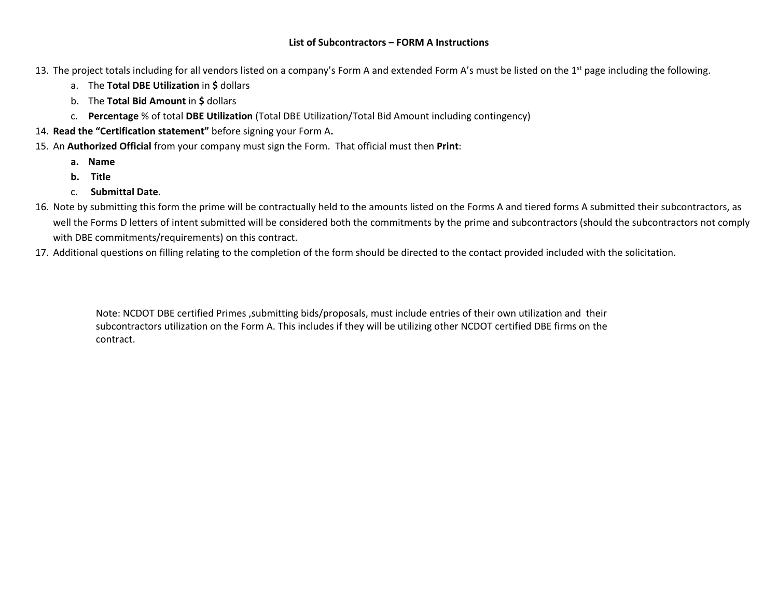#### **List of Subcontractors – FORM A Instructions**

13. The project totals including for all vendors listed on a company's Form A and extended Form A's must be listed on the 1<sup>st</sup> page including the following.

- a. The **Total DBE Utilization** in **\$** dollars
- b. The **Total Bid Amount** in **\$** dollars
- c. **Percentage** % of total **DBE Utilization** (Total DBE Utilization/Total Bid Amount including contingency)
- 14. **Read the "Certification statement"** before signing your Form A**.**
- 15. An **Authorized Official** from your company must sign the Form. That official must then **Print**:
	- **a. Name**
	- **b. Title**
	- c. **Submittal Date**.
- 16. Note by submitting this form the prime will be contractually held to the amounts listed on the Forms A and tiered forms A submitted their subcontractors, as well the Forms D letters of intent submitted will be considered both the commitments by the prime and subcontractors (should the subcontractors not comply with DBE commitments/requirements) on this contract.
- 17. Additional questions on filling relating to the completion of the form should be directed to the contact provided included with the solicitation.

Note: NCDOT DBE certified Primes ,submitting bids/proposals, must include entries of their own utilization and their subcontractors utilization on the Form A. This includes if they will be utilizing other NCDOT certified DBE firms on the contract.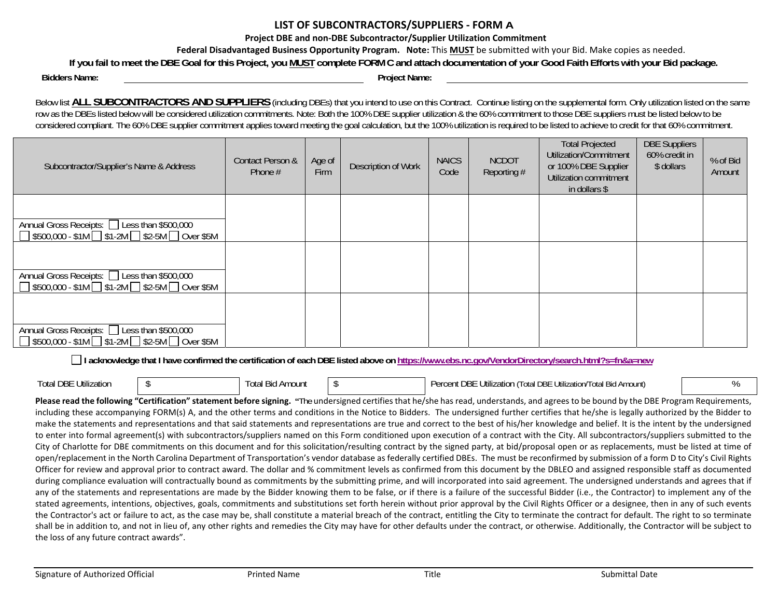## **LIST OF SUBCONTRACTORS/SUPPLIERS ‐ FORM A**

**Project DBE and non‐DBE Subcontractor/Supplier Utilization Commitment**

**Federal Disadvantaged Business Opportunity Program. Note:** This **MUST** be submitted with your Bid. Make copies as needed.

**If you fail to meet the DBE Goal for this Project, you MUST complete FORM C and attach documentation of your Good Faith Efforts with your Bid package.** 

**Bidders Name: Project Name:**

Below list **ALL SUBCONTRACTORS AND SUPPLIERS** (including DBEs) that you intend to use on this Contract. Continue listing on the supplemental form. Only utilization listed on the same row as the DBEs listed below will be considered utilization commitments. Note: Both the 100% DBE supplier utilization & the 60% commitment to those DBE suppliers must be listed below to be considered compliant. The 60% DBE supplier commitment applies toward meeting the goal calculation, but the 100% utilization is required to be listed to achieve to credit for that 60% commitment.

| Subcontractor/Supplier's Name & Address                                                                              | Contact Person &<br>Phone $#$ | Age of<br>Firm | Description of Work | <b>NAICS</b><br>Code | <b>NCDOT</b><br>Reporting # | <b>Total Projected</b><br>Utilization/Commitment<br>or 100% DBE Supplier<br>Utilization commitment<br>in dollars \$ | <b>DBE Suppliers</b><br>60% credit in<br>\$ dollars | % of Bid<br>Amount |
|----------------------------------------------------------------------------------------------------------------------|-------------------------------|----------------|---------------------|----------------------|-----------------------------|---------------------------------------------------------------------------------------------------------------------|-----------------------------------------------------|--------------------|
|                                                                                                                      |                               |                |                     |                      |                             |                                                                                                                     |                                                     |                    |
| Annual Gross Receipts: □ Less than \$500,000<br>$\Box$ \$500,000 - \$1M $\Box$ \$1-2M $\Box$ \$2-5M $\Box$ Over \$5M |                               |                |                     |                      |                             |                                                                                                                     |                                                     |                    |
|                                                                                                                      |                               |                |                     |                      |                             |                                                                                                                     |                                                     |                    |
| Annual Gross Receipts: □ Less than \$500,000<br>$\Box$ \$500,000 - \$1M $\Box$ \$1-2M $\Box$ \$2-5M $\Box$ Over \$5M |                               |                |                     |                      |                             |                                                                                                                     |                                                     |                    |
|                                                                                                                      |                               |                |                     |                      |                             |                                                                                                                     |                                                     |                    |
| Annual Gross Receipts: □ Less than \$500,000<br>$\Box$ \$500,000 - \$1M $\Box$ \$1-2M $\Box$ \$2-5M $\Box$ Over \$5M |                               |                |                     |                      |                             |                                                                                                                     |                                                     |                    |

**I acknowledge that I have confirmed the certification of each DBE listed above on https://www.ebs.nc.gov/VendorDirectory/search.html?s=fn&a=new**

| <b>Total DBE Utilization</b> | I Bid Amount<br>l ∩ta | ent DBE<br>. Utilization<br>Utilization/Total Bid Amount)<br>Total DBE<br>Percent |  |
|------------------------------|-----------------------|-----------------------------------------------------------------------------------|--|
|                              | νw                    |                                                                                   |  |

Please read the following "Certification" statement before signing. "The undersigned certifies that he/she has read, understands, and agrees to be bound by the DBE Program Requirements, including these accompanying FORM(s) A, and the other terms and conditions in the Notice to Bidders. The undersigned further certifies that he/she is legally authorized by the Bidder to make the statements and representations and that said statements and representations are true and correct to the best of his/her knowledge and belief. It is the intent by the undersigned to enter into formal agreement(s) with subcontractors/suppliers named on this Form conditioned upon execution of a contract with the City. All subcontractors/suppliers submitted to the City of Charlotte for DBE commitments on this document and for this solicitation/resulting contract by the signed party, at bid/proposal open or as replacements, must be listed at time of open/replacement in the North Carolina Department of Transportation's vendor database as federally certified DBEs. The must be reconfirmed by submission of a form D to City's Civil Rights Officer for review and approval prior to contract award. The dollar and % commitment levels as confirmed from this document by the DBLEO and assigned responsible staff as documented during compliance evaluation will contractually bound as commitments by the submitting prime, and will incorporated into said agreement. The undersigned understands and agrees that if any of the statements and representations are made by the Bidder knowing them to be false, or if there is a failure of the successful Bidder (i.e., the Contractor) to implement any of the stated agreements, intentions, objectives, goals, commitments and substitutions set forth herein without prior approval by the Civil Rights Officer or a designee, then in any of such events the Contractor's act or failure to act, as the case may be, shall constitute a material breach of the contract, entitling the City to terminate the contract for default. The right to so terminate shall be in addition to, and not in lieu of, any other rights and remedies the City may have for other defaults under the contract, or otherwise. Additionally, the Contractor will be subject to the loss of any future contract awards".